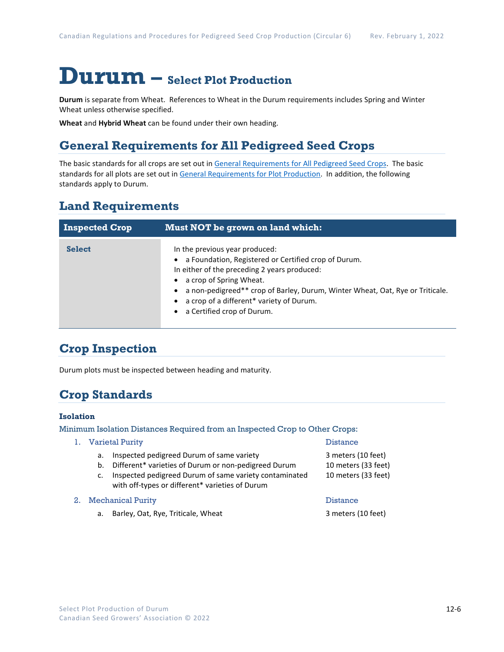# **Durum – Select Plot Production**

**Durum** is separate from Wheat. References to Wheat in the Durum requirements includes Spring and Winter Wheat unless otherwise specified.

**Wheat** and **Hybrid Wheat** can be found under their own heading.

# **General Requirements for All Pedigreed Seed Crops**

The basic standards for all crops are set out i[n General Requirements for All Pedigreed Seed](https://seedgrowers.ca/wp-content/uploads/2020/01/GENERAL-REQUIREMENTS-ALL-CROPS_EN.pdf) Crops. The basic standards for all plots are set out i[n General Requirements for Plot Production.](https://seedgrowers.ca/wp-content/uploads/2020/01/GENERAL-REQUIREMENTS-PLOTS_EN.pdf) In addition, the following standards apply to Durum.

## **Land Requirements**

| <b>Inspected Crop</b> | Must NOT be grown on land which:                                                                                                                                                                                                                                                                                                          |
|-----------------------|-------------------------------------------------------------------------------------------------------------------------------------------------------------------------------------------------------------------------------------------------------------------------------------------------------------------------------------------|
| <b>Select</b>         | In the previous year produced:<br>a Foundation, Registered or Certified crop of Durum.<br>In either of the preceding 2 years produced:<br>a crop of Spring Wheat.<br>a non-pedigreed** crop of Barley, Durum, Winter Wheat, Oat, Rye or Triticale.<br>$\bullet$<br>a crop of a different* variety of Durum.<br>a Certified crop of Durum. |

# **Crop Inspection**

Durum plots must be inspected between heading and maturity.

### **Crop Standards**

#### **Isolation**

Minimum Isolation Distances Required from an Inspected Crop to Other Crops:

|      | 1. Varietal Purity                                                                                                                                                                                                               | <b>Distance</b>                                                  |
|------|----------------------------------------------------------------------------------------------------------------------------------------------------------------------------------------------------------------------------------|------------------------------------------------------------------|
|      | Inspected pedigreed Durum of same variety<br>a.<br>Different* varieties of Durum or non-pedigreed Durum<br>b.<br>Inspected pedigreed Durum of same variety contaminated<br>c.<br>with off-types or different* varieties of Durum | 3 meters (10 feet)<br>10 meters (33 feet)<br>10 meters (33 feet) |
| 2. . | <b>Mechanical Purity</b>                                                                                                                                                                                                         | <b>Distance</b>                                                  |
|      | Barley, Oat, Rye, Triticale, Wheat<br>а.                                                                                                                                                                                         | 3 meters (10 feet)                                               |